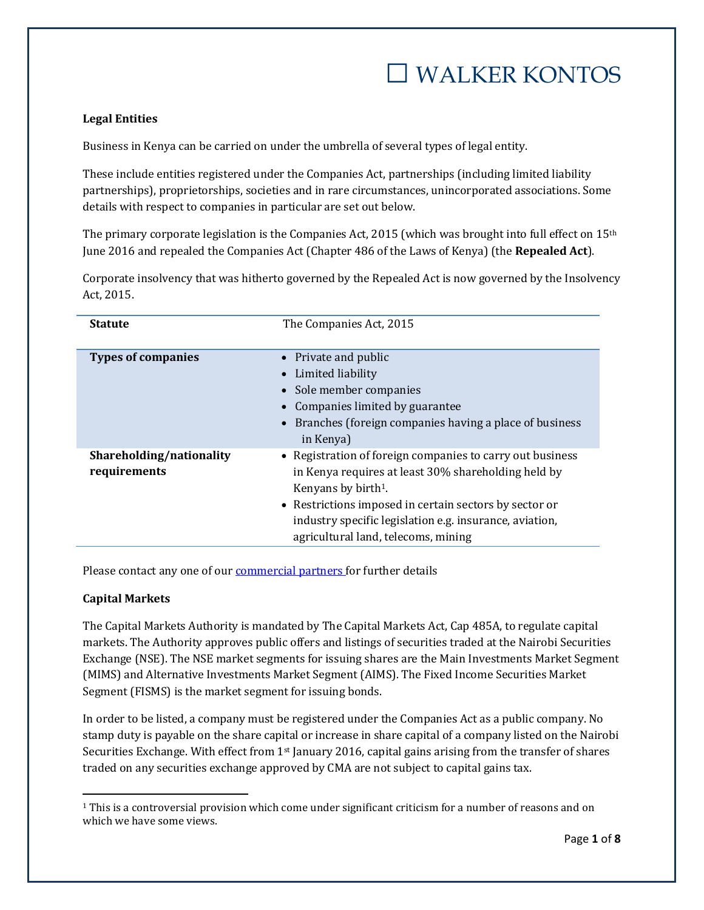# **Legal Entities**

Business in Kenya can be carried on under the umbrella of several types of legal entity.

These include entities registered under the Companies Act, partnerships (including limited liability partnerships), proprietorships, societies and in rare circumstances, unincorporated associations. Some details with respect to companies in particular are set out below.

The primary corporate legislation is the Companies Act, 2015 (which was brought into full effect on 15th June 2016 and repealed the Companies Act (Chapter 486 of the Laws of Kenya) (the **Repealed Act**).

Corporate insolvency that was hitherto governed by the Repealed Act is now governed by the Insolvency Act, 2015.

| <b>Statute</b>                           | The Companies Act, 2015                                                                                                                                                                                                                                                                                         |
|------------------------------------------|-----------------------------------------------------------------------------------------------------------------------------------------------------------------------------------------------------------------------------------------------------------------------------------------------------------------|
| <b>Types of companies</b>                | • Private and public<br>Limited liability<br>$\bullet$<br>• Sole member companies<br>Companies limited by guarantee<br>Branches (foreign companies having a place of business<br>$\bullet$<br>in Kenya)                                                                                                         |
| Shareholding/nationality<br>requirements | • Registration of foreign companies to carry out business<br>in Kenya requires at least 30% shareholding held by<br>Kenyans by birth <sup>1</sup> .<br>• Restrictions imposed in certain sectors by sector or<br>industry specific legislation e.g. insurance, aviation,<br>agricultural land, telecoms, mining |

Please contact any one of our [commercial partners](http://www.walkerkontos.com/partners) for further details

### **Capital Markets**

 $\overline{\phantom{a}}$ 

The Capital Markets Authority is mandated by The Capital Markets Act, Cap 485A, to regulate capital markets. The Authority approves public offers and listings of securities traded at the Nairobi Securities Exchange (NSE). The NSE market segments for issuing shares are the Main Investments Market Segment (MIMS) and Alternative Investments Market Segment (AIMS). The Fixed Income Securities Market Segment (FISMS) is the market segment for issuing bonds.

In order to be listed, a company must be registered under the Companies Act as a public company. No stamp duty is payable on the share capital or increase in share capital of a company listed on the Nairobi Securities Exchange. With effect from 1<sup>st</sup> January 2016, capital gains arising from the transfer of shares traded on any securities exchange approved by CMA are not subject to capital gains tax.

<sup>&</sup>lt;sup>1</sup> This is a controversial provision which come under significant criticism for a number of reasons and on which we have some views.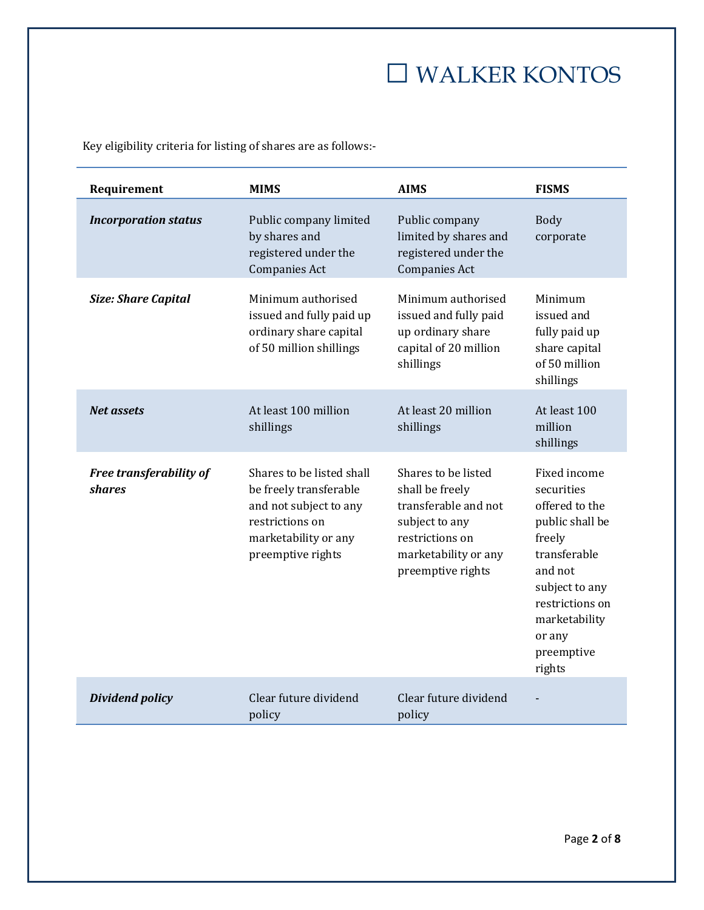Key eligibility criteria for listing of shares are as follows:-

| Requirement                              | <b>MIMS</b>                                                                                                                                   | <b>AIMS</b>                                                                                                                                      | <b>FISMS</b>                                                                                                                                                                                 |
|------------------------------------------|-----------------------------------------------------------------------------------------------------------------------------------------------|--------------------------------------------------------------------------------------------------------------------------------------------------|----------------------------------------------------------------------------------------------------------------------------------------------------------------------------------------------|
| <b>Incorporation status</b>              | Public company limited<br>by shares and<br>registered under the<br><b>Companies Act</b>                                                       | Public company<br>limited by shares and<br>registered under the<br><b>Companies Act</b>                                                          | <b>Body</b><br>corporate                                                                                                                                                                     |
| <b>Size: Share Capital</b>               | Minimum authorised<br>issued and fully paid up<br>ordinary share capital<br>of 50 million shillings                                           | Minimum authorised<br>issued and fully paid<br>up ordinary share<br>capital of 20 million<br>shillings                                           | Minimum<br>issued and<br>fully paid up<br>share capital<br>of 50 million<br>shillings                                                                                                        |
| <b>Net assets</b>                        | At least 100 million<br>shillings                                                                                                             | At least 20 million<br>shillings                                                                                                                 | At least 100<br>million<br>shillings                                                                                                                                                         |
| Free transferability of<br><b>shares</b> | Shares to be listed shall<br>be freely transferable<br>and not subject to any<br>restrictions on<br>marketability or any<br>preemptive rights | Shares to be listed<br>shall be freely<br>transferable and not<br>subject to any<br>restrictions on<br>marketability or any<br>preemptive rights | Fixed income<br>securities<br>offered to the<br>public shall be<br>freely<br>transferable<br>and not<br>subject to any<br>restrictions on<br>marketability<br>or any<br>preemptive<br>rights |
| <b>Dividend policy</b>                   | Clear future dividend<br>policy                                                                                                               | Clear future dividend<br>policy                                                                                                                  |                                                                                                                                                                                              |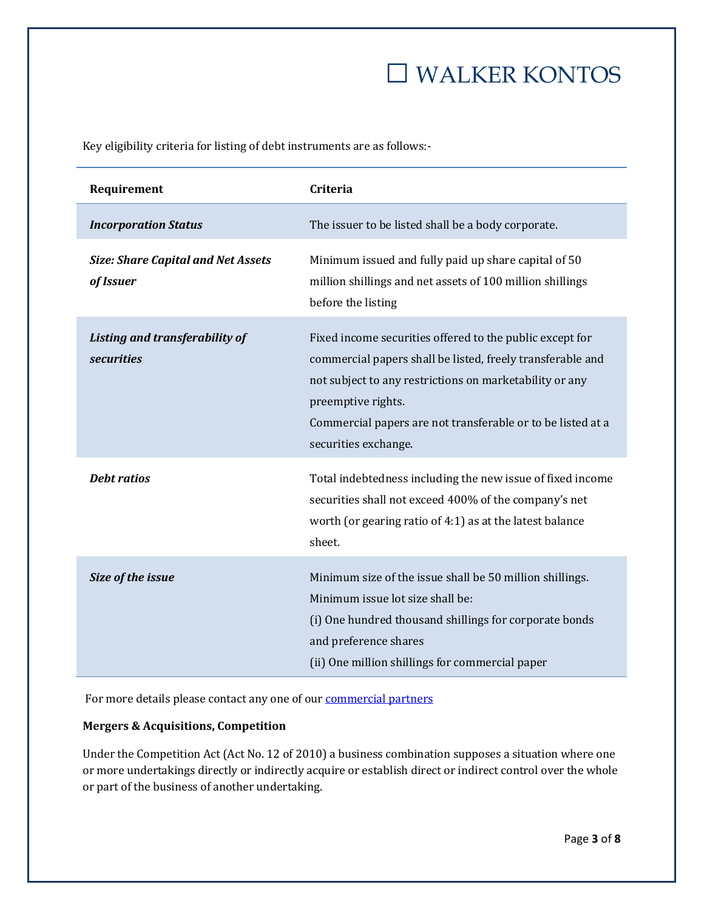Key eligibility criteria for listing of debt instruments are as follows:-

| Requirement                                            | Criteria                                                                                                                                                                                                                                                                                       |
|--------------------------------------------------------|------------------------------------------------------------------------------------------------------------------------------------------------------------------------------------------------------------------------------------------------------------------------------------------------|
| <b>Incorporation Status</b>                            | The issuer to be listed shall be a body corporate.                                                                                                                                                                                                                                             |
| <b>Size: Share Capital and Net Assets</b><br>of Issuer | Minimum issued and fully paid up share capital of 50<br>million shillings and net assets of 100 million shillings<br>before the listing                                                                                                                                                        |
| Listing and transferability of<br><b>securities</b>    | Fixed income securities offered to the public except for<br>commercial papers shall be listed, freely transferable and<br>not subject to any restrictions on marketability or any<br>preemptive rights.<br>Commercial papers are not transferable or to be listed at a<br>securities exchange. |
| <b>Debt ratios</b>                                     | Total indebtedness including the new issue of fixed income<br>securities shall not exceed 400% of the company's net<br>worth (or gearing ratio of 4:1) as at the latest balance<br>sheet.                                                                                                      |
| Size of the issue                                      | Minimum size of the issue shall be 50 million shillings.<br>Minimum issue lot size shall be:<br>(i) One hundred thousand shillings for corporate bonds<br>and preference shares<br>(ii) One million shillings for commercial paper                                                             |

For more details please contact any one of our **[commercial partners](http://www.walkerkontos.com/partners)** 

## **Mergers & Acquisitions, Competition**

Under the Competition Act (Act No. 12 of 2010) a business combination supposes a situation where one or more undertakings directly or indirectly acquire or establish direct or indirect control over the whole or part of the business of another undertaking.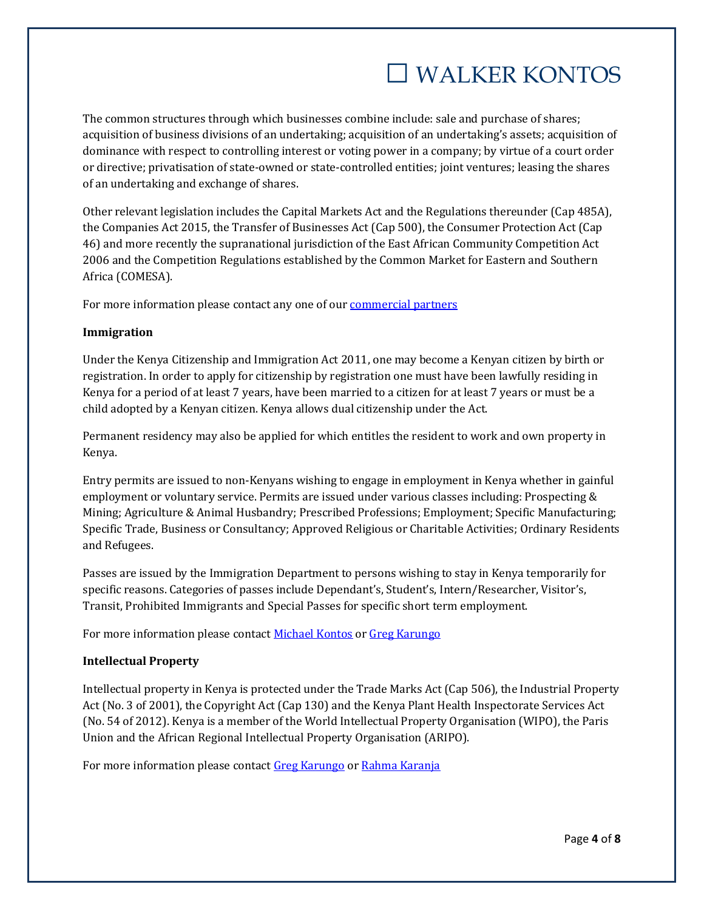The common structures through which businesses combine include: sale and purchase of shares; acquisition of business divisions of an undertaking; acquisition of an undertaking's assets; acquisition of dominance with respect to controlling interest or voting power in a company; by virtue of a court order or directive; privatisation of state-owned or state-controlled entities; joint ventures; leasing the shares of an undertaking and exchange of shares.

Other relevant legislation includes the Capital Markets Act and the Regulations thereunder (Cap 485A), the Companies Act 2015, the Transfer of Businesses Act (Cap 500), the Consumer Protection Act (Cap 46) and more recently the supranational jurisdiction of the East African Community Competition Act 2006 and the Competition Regulations established by the Common Market for Eastern and Southern Africa (COMESA).

For more information please contact any one of our [commercial partners](http://www.walkerkontos.com/partners)

## **Immigration**

Under the Kenya Citizenship and Immigration Act 2011, one may become a Kenyan citizen by birth or registration. In order to apply for citizenship by registration one must have been lawfully residing in Kenya for a period of at least 7 years, have been married to a citizen for at least 7 years or must be a child adopted by a Kenyan citizen. Kenya allows dual citizenship under the Act.

Permanent residency may also be applied for which entitles the resident to work and own property in Kenya.

Entry permits are issued to non-Kenyans wishing to engage in employment in Kenya whether in gainful employment or voluntary service. Permits are issued under various classes including: Prospecting & Mining; Agriculture & Animal Husbandry; Prescribed Professions; Employment; Specific Manufacturing; Specific Trade, Business or Consultancy; Approved Religious or Charitable Activities; Ordinary Residents and Refugees.

Passes are issued by the Immigration Department to persons wishing to stay in Kenya temporarily for specific reasons. Categories of passes include Dependant's, Student's, Intern/Researcher, Visitor's, Transit, Prohibited Immigrants and Special Passes for specific short term employment.

For more information please contact [Michael Kontos](http://www.walkerkontos.com/michael-kontos) or [Greg Karungo](http://www.walkerkontos.com/gregory-karungo)

# **Intellectual Property**

Intellectual property in Kenya is protected under the Trade Marks Act (Cap 506), the Industrial Property Act (No. 3 of 2001), the Copyright Act (Cap 130) and the Kenya Plant Health Inspectorate Services Act (No. 54 of 2012). Kenya is a member of the World Intellectual Property Organisation (WIPO), the Paris Union and the African Regional Intellectual Property Organisation (ARIPO).

For more information please contact [Greg Karungo](http://www.walkerkontos.com/gregory-karungo) or [Rahma Karanja](http://www.walkerkontos.com/rahma-karanja)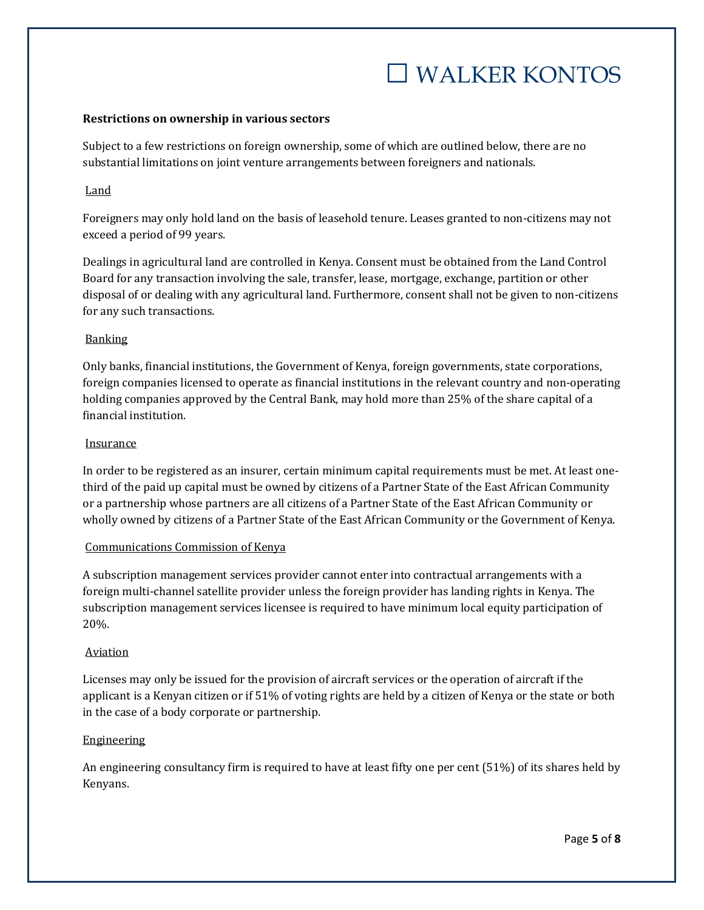#### **Restrictions on ownership in various sectors**

Subject to a few restrictions on foreign ownership, some of which are outlined below, there are no substantial limitations on joint venture arrangements between foreigners and nationals.

## **Land**

Foreigners may only hold land on the basis of leasehold tenure. Leases granted to non-citizens may not exceed a period of 99 years.

Dealings in agricultural land are controlled in Kenya. Consent must be obtained from the Land Control Board for any transaction involving the sale, transfer, lease, mortgage, exchange, partition or other disposal of or dealing with any agricultural land. Furthermore, consent shall not be given to non-citizens for any such transactions.

### **Banking**

Only banks, financial institutions, the Government of Kenya, foreign governments, state corporations, foreign companies licensed to operate as financial institutions in the relevant country and non-operating holding companies approved by the Central Bank, may hold more than 25% of the share capital of a financial institution.

#### **Insurance**

In order to be registered as an insurer, certain minimum capital requirements must be met. At least onethird of the paid up capital must be owned by citizens of a Partner State of the East African Community or a partnership whose partners are all citizens of a Partner State of the East African Community or wholly owned by citizens of a Partner State of the East African Community or the Government of Kenya.

#### Communications Commission of Kenya

A subscription management services provider cannot enter into contractual arrangements with a foreign multi-channel satellite provider unless the foreign provider has landing rights in Kenya. The subscription management services licensee is required to have minimum local equity participation of 20%.

### Aviation

Licenses may only be issued for the provision of aircraft services or the operation of aircraft if the applicant is a Kenyan citizen or if 51% of voting rights are held by a citizen of Kenya or the state or both in the case of a body corporate or partnership.

### Engineering

An engineering consultancy firm is required to have at least fifty one per cent (51%) of its shares held by Kenyans.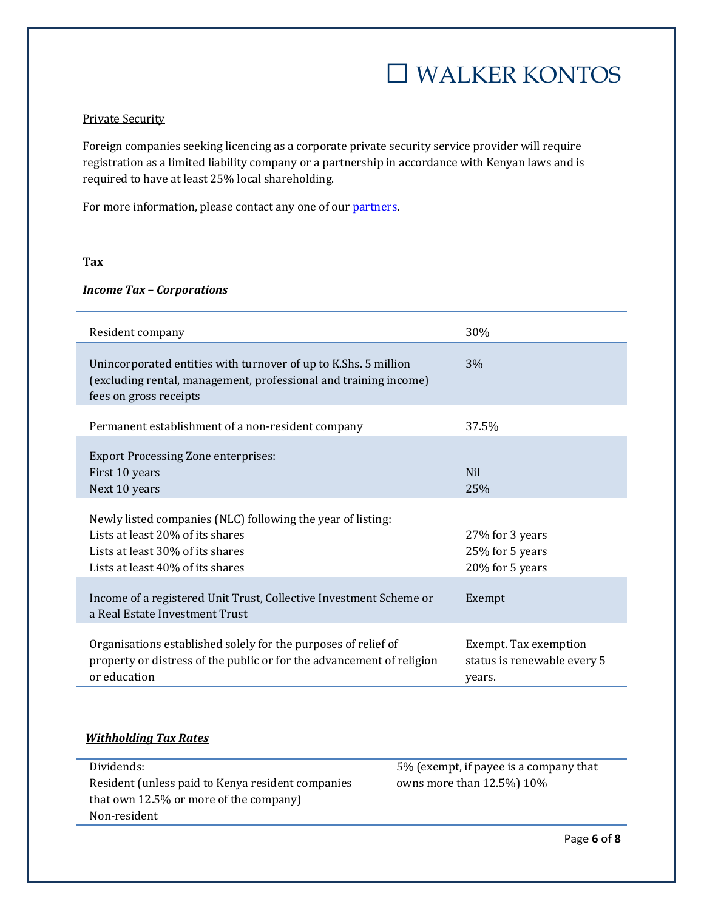### Private Security

Foreign companies seeking licencing as a corporate private security service provider will require registration as a limited liability company or a partnership in accordance with Kenyan laws and is required to have at least 25% local shareholding.

For more information, please contact any one of our [partners.](http://www.walkerkontos.com/partners)

### **Tax**

## *Income Tax – Corporations*

| Resident company                                                                                                                                                                 | 30%                                                            |
|----------------------------------------------------------------------------------------------------------------------------------------------------------------------------------|----------------------------------------------------------------|
| Unincorporated entities with turnover of up to K.Shs. 5 million<br>(excluding rental, management, professional and training income)<br>fees on gross receipts                    | 3%                                                             |
| Permanent establishment of a non-resident company                                                                                                                                | 37.5%                                                          |
| <b>Export Processing Zone enterprises:</b><br>First 10 years<br>Next 10 years<br>Newly listed companies (NLC) following the year of listing:<br>Lists at least 20% of its shares | <b>Nil</b><br>25%<br>27% for 3 years                           |
| Lists at least 30% of its shares<br>Lists at least 40% of its shares                                                                                                             | 25% for 5 years<br>20% for 5 years                             |
| Income of a registered Unit Trust, Collective Investment Scheme or<br>a Real Estate Investment Trust                                                                             | Exempt                                                         |
| Organisations established solely for the purposes of relief of<br>property or distress of the public or for the advancement of religion<br>or education                          | Exempt. Tax exemption<br>status is renewable every 5<br>years. |

## *Withholding Tax Rates*

| Dividends:                                        | 5% (exempt, if payee is a company that |
|---------------------------------------------------|----------------------------------------|
| Resident (unless paid to Kenya resident companies | owns more than $12.5\%$ ) $10\%$       |
| that own 12.5% or more of the company             |                                        |
| Non-resident                                      |                                        |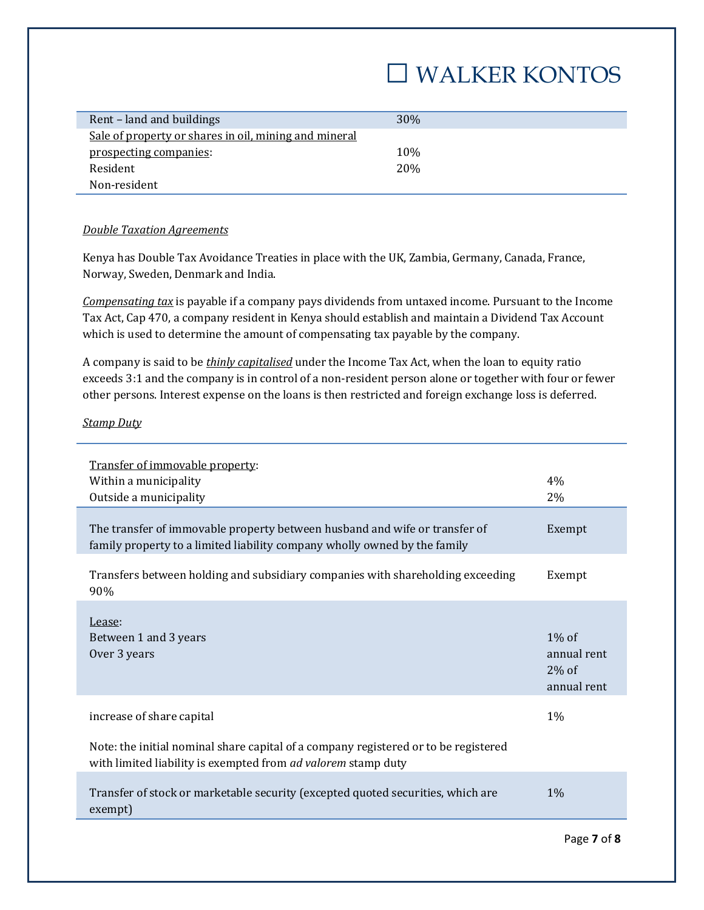| Rent – land and buildings                             | 30\% |
|-------------------------------------------------------|------|
|                                                       |      |
| Sale of property or shares in oil, mining and mineral |      |
|                                                       |      |
| prospecting companies:                                | 10\% |
|                                                       |      |
| Resident                                              | 20%  |
|                                                       |      |
| Non-resident                                          |      |

#### *Double Taxation Agreements*

Kenya has Double Tax Avoidance Treaties in place with the UK, Zambia, Germany, Canada, France, Norway, Sweden, Denmark and India.

*Compensating tax* is payable if a company pays dividends from untaxed income. Pursuant to the Income Tax Act, Cap 470, a company resident in Kenya should establish and maintain a Dividend Tax Account which is used to determine the amount of compensating tax payable by the company.

A company is said to be *thinly capitalised* under the Income Tax Act, when the loan to equity ratio exceeds 3:1 and the company is in control of a non-resident person alone or together with four or fewer other persons. Interest expense on the loans is then restricted and foreign exchange loss is deferred.

#### *Stamp Duty*

| Transfer of immovable property:<br>Within a municipality<br>Outside a municipality                                                                          | 4%<br>2%                                           |
|-------------------------------------------------------------------------------------------------------------------------------------------------------------|----------------------------------------------------|
| The transfer of immovable property between husband and wife or transfer of<br>family property to a limited liability company wholly owned by the family     | Exempt                                             |
| Transfers between holding and subsidiary companies with shareholding exceeding<br>90%                                                                       | Exempt                                             |
| Lease:<br>Between 1 and 3 years<br>Over 3 years                                                                                                             | $1\%$ of<br>annual rent<br>$2\%$ of<br>annual rent |
| increase of share capital                                                                                                                                   | 1%                                                 |
| Note: the initial nominal share capital of a company registered or to be registered<br>with limited liability is exempted from <i>ad valorem</i> stamp duty |                                                    |
| Transfer of stock or marketable security (excepted quoted securities, which are<br>exempt)                                                                  | $1\%$                                              |